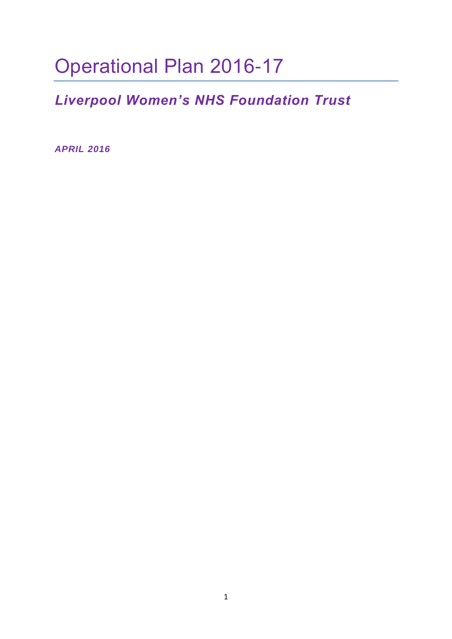# Operational Plan 2016-17

## *Liverpool Women's NHS Foundation Trust*

*APRIL 2016*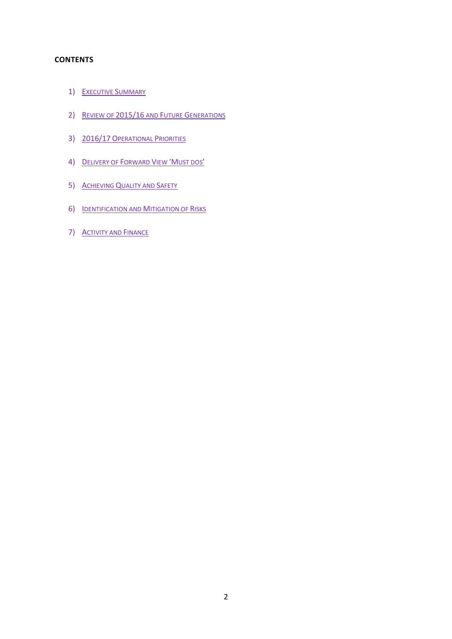#### **CONTENTS**

- 1) EXECUTIVE SUMMARY
- 2) REVIEW OF 2015/16 AND FUTURE GENERATIONS
- 3) 2016/17 OPERATIONAL PRIORITIES
- 4) DELIVERY OF FORWARD VIEW 'MUST DOS'
- 5) ACHIEVING QUALITY AND SAFETY
- 6) IDENTIFICATION AND MITIGATION OF RISKS
- 7) **ACTIVITY AND FINANCE**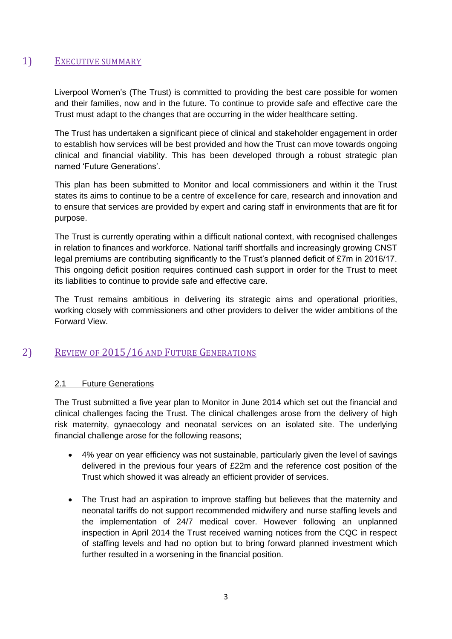## 1) EXECUTIVE SUMMARY

Liverpool Women's (The Trust) is committed to providing the best care possible for women and their families, now and in the future. To continue to provide safe and effective care the Trust must adapt to the changes that are occurring in the wider healthcare setting.

The Trust has undertaken a significant piece of clinical and stakeholder engagement in order to establish how services will be best provided and how the Trust can move towards ongoing clinical and financial viability. This has been developed through a robust strategic plan named 'Future Generations'.

This plan has been submitted to Monitor and local commissioners and within it the Trust states its aims to continue to be a centre of excellence for care, research and innovation and to ensure that services are provided by expert and caring staff in environments that are fit for purpose.

The Trust is currently operating within a difficult national context, with recognised challenges in relation to finances and workforce. National tariff shortfalls and increasingly growing CNST legal premiums are contributing significantly to the Trust's planned deficit of £7m in 2016/17. This ongoing deficit position requires continued cash support in order for the Trust to meet its liabilities to continue to provide safe and effective care.

The Trust remains ambitious in delivering its strategic aims and operational priorities, working closely with commissioners and other providers to deliver the wider ambitions of the Forward View.

## 2) REVIEW OF 2015/16 AND FUTURE GENERATIONS

## 2.1 Future Generations

The Trust submitted a five year plan to Monitor in June 2014 which set out the financial and clinical challenges facing the Trust. The clinical challenges arose from the delivery of high risk maternity, gynaecology and neonatal services on an isolated site. The underlying financial challenge arose for the following reasons;

- 4% year on year efficiency was not sustainable, particularly given the level of savings delivered in the previous four years of £22m and the reference cost position of the Trust which showed it was already an efficient provider of services.
- The Trust had an aspiration to improve staffing but believes that the maternity and neonatal tariffs do not support recommended midwifery and nurse staffing levels and the implementation of 24/7 medical cover. However following an unplanned inspection in April 2014 the Trust received warning notices from the CQC in respect of staffing levels and had no option but to bring forward planned investment which further resulted in a worsening in the financial position.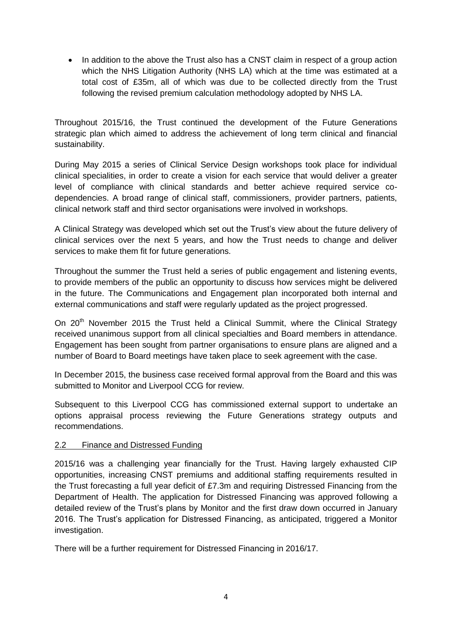• In addition to the above the Trust also has a CNST claim in respect of a group action which the NHS Litigation Authority (NHS LA) which at the time was estimated at a total cost of £35m, all of which was due to be collected directly from the Trust following the revised premium calculation methodology adopted by NHS LA.

Throughout 2015/16, the Trust continued the development of the Future Generations strategic plan which aimed to address the achievement of long term clinical and financial sustainability.

During May 2015 a series of Clinical Service Design workshops took place for individual clinical specialities, in order to create a vision for each service that would deliver a greater level of compliance with clinical standards and better achieve required service codependencies. A broad range of clinical staff, commissioners, provider partners, patients, clinical network staff and third sector organisations were involved in workshops.

A Clinical Strategy was developed which set out the Trust's view about the future delivery of clinical services over the next 5 years, and how the Trust needs to change and deliver services to make them fit for future generations.

Throughout the summer the Trust held a series of public engagement and listening events, to provide members of the public an opportunity to discuss how services might be delivered in the future. The Communications and Engagement plan incorporated both internal and external communications and staff were regularly updated as the project progressed.

On 20<sup>th</sup> November 2015 the Trust held a Clinical Summit, where the Clinical Strategy received unanimous support from all clinical specialties and Board members in attendance. Engagement has been sought from partner organisations to ensure plans are aligned and a number of Board to Board meetings have taken place to seek agreement with the case.

In December 2015, the business case received formal approval from the Board and this was submitted to Monitor and Liverpool CCG for review.

Subsequent to this Liverpool CCG has commissioned external support to undertake an options appraisal process reviewing the Future Generations strategy outputs and recommendations.

## 2.2 Finance and Distressed Funding

2015/16 was a challenging year financially for the Trust. Having largely exhausted CIP opportunities, increasing CNST premiums and additional staffing requirements resulted in the Trust forecasting a full year deficit of £7.3m and requiring Distressed Financing from the Department of Health. The application for Distressed Financing was approved following a detailed review of the Trust's plans by Monitor and the first draw down occurred in January 2016. The Trust's application for Distressed Financing, as anticipated, triggered a Monitor investigation.

There will be a further requirement for Distressed Financing in 2016/17.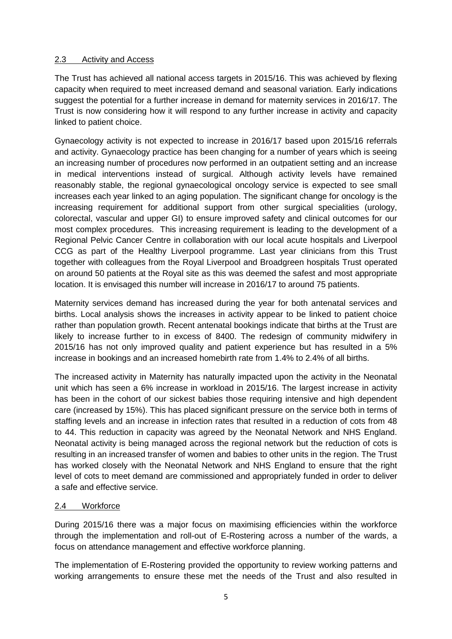## 2.3 Activity and Access

The Trust has achieved all national access targets in 2015/16. This was achieved by flexing capacity when required to meet increased demand and seasonal variation. Early indications suggest the potential for a further increase in demand for maternity services in 2016/17. The Trust is now considering how it will respond to any further increase in activity and capacity linked to patient choice.

Gynaecology activity is not expected to increase in 2016/17 based upon 2015/16 referrals and activity. Gynaecology practice has been changing for a number of years which is seeing an increasing number of procedures now performed in an outpatient setting and an increase in medical interventions instead of surgical. Although activity levels have remained reasonably stable, the regional gynaecological oncology service is expected to see small increases each year linked to an aging population. The significant change for oncology is the increasing requirement for additional support from other surgical specialities (urology, colorectal, vascular and upper GI) to ensure improved safety and clinical outcomes for our most complex procedures. This increasing requirement is leading to the development of a Regional Pelvic Cancer Centre in collaboration with our local acute hospitals and Liverpool CCG as part of the Healthy Liverpool programme. Last year clinicians from this Trust together with colleagues from the Royal Liverpool and Broadgreen hospitals Trust operated on around 50 patients at the Royal site as this was deemed the safest and most appropriate location. It is envisaged this number will increase in 2016/17 to around 75 patients.

Maternity services demand has increased during the year for both antenatal services and births. Local analysis shows the increases in activity appear to be linked to patient choice rather than population growth. Recent antenatal bookings indicate that births at the Trust are likely to increase further to in excess of 8400. The redesign of community midwifery in 2015/16 has not only improved quality and patient experience but has resulted in a 5% increase in bookings and an increased homebirth rate from 1.4% to 2.4% of all births.

The increased activity in Maternity has naturally impacted upon the activity in the Neonatal unit which has seen a 6% increase in workload in 2015/16. The largest increase in activity has been in the cohort of our sickest babies those requiring intensive and high dependent care (increased by 15%). This has placed significant pressure on the service both in terms of staffing levels and an increase in infection rates that resulted in a reduction of cots from 48 to 44. This reduction in capacity was agreed by the Neonatal Network and NHS England. Neonatal activity is being managed across the regional network but the reduction of cots is resulting in an increased transfer of women and babies to other units in the region. The Trust has worked closely with the Neonatal Network and NHS England to ensure that the right level of cots to meet demand are commissioned and appropriately funded in order to deliver a safe and effective service.

## 2.4 Workforce

During 2015/16 there was a major focus on maximising efficiencies within the workforce through the implementation and roll-out of E-Rostering across a number of the wards, a focus on attendance management and effective workforce planning.

The implementation of E-Rostering provided the opportunity to review working patterns and working arrangements to ensure these met the needs of the Trust and also resulted in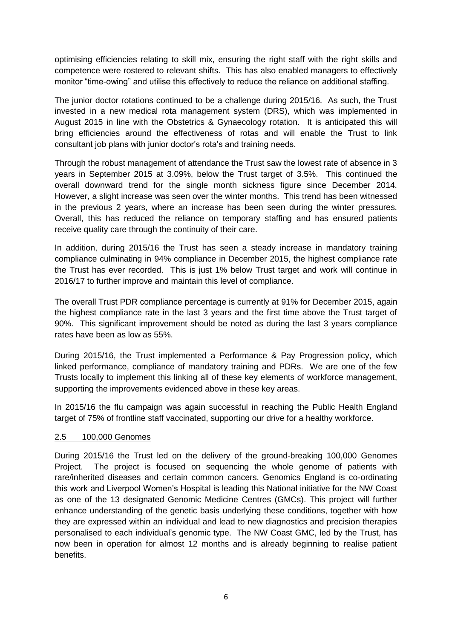optimising efficiencies relating to skill mix, ensuring the right staff with the right skills and competence were rostered to relevant shifts. This has also enabled managers to effectively monitor "time-owing" and utilise this effectively to reduce the reliance on additional staffing.

The junior doctor rotations continued to be a challenge during 2015/16. As such, the Trust invested in a new medical rota management system (DRS), which was implemented in August 2015 in line with the Obstetrics & Gynaecology rotation. It is anticipated this will bring efficiencies around the effectiveness of rotas and will enable the Trust to link consultant job plans with junior doctor's rota's and training needs.

Through the robust management of attendance the Trust saw the lowest rate of absence in 3 years in September 2015 at 3.09%, below the Trust target of 3.5%. This continued the overall downward trend for the single month sickness figure since December 2014. However, a slight increase was seen over the winter months. This trend has been witnessed in the previous 2 years, where an increase has been seen during the winter pressures. Overall, this has reduced the reliance on temporary staffing and has ensured patients receive quality care through the continuity of their care.

In addition, during 2015/16 the Trust has seen a steady increase in mandatory training compliance culminating in 94% compliance in December 2015, the highest compliance rate the Trust has ever recorded. This is just 1% below Trust target and work will continue in 2016/17 to further improve and maintain this level of compliance.

The overall Trust PDR compliance percentage is currently at 91% for December 2015, again the highest compliance rate in the last 3 years and the first time above the Trust target of 90%. This significant improvement should be noted as during the last 3 years compliance rates have been as low as 55%.

During 2015/16, the Trust implemented a Performance & Pay Progression policy, which linked performance, compliance of mandatory training and PDRs. We are one of the few Trusts locally to implement this linking all of these key elements of workforce management, supporting the improvements evidenced above in these key areas.

In 2015/16 the flu campaign was again successful in reaching the Public Health England target of 75% of frontline staff vaccinated, supporting our drive for a healthy workforce.

## 2.5 100,000 Genomes

During 2015/16 the Trust led on the delivery of the ground-breaking 100,000 Genomes Project. The project is focused on sequencing the whole genome of patients with rare/inherited diseases and certain common cancers. Genomics England is co-ordinating this work and Liverpool Women's Hospital is leading this National initiative for the NW Coast as one of the 13 designated Genomic Medicine Centres (GMCs). This project will further enhance understanding of the genetic basis underlying these conditions, together with how they are expressed within an individual and lead to new diagnostics and precision therapies personalised to each individual's genomic type. The NW Coast GMC, led by the Trust, has now been in operation for almost 12 months and is already beginning to realise patient benefits.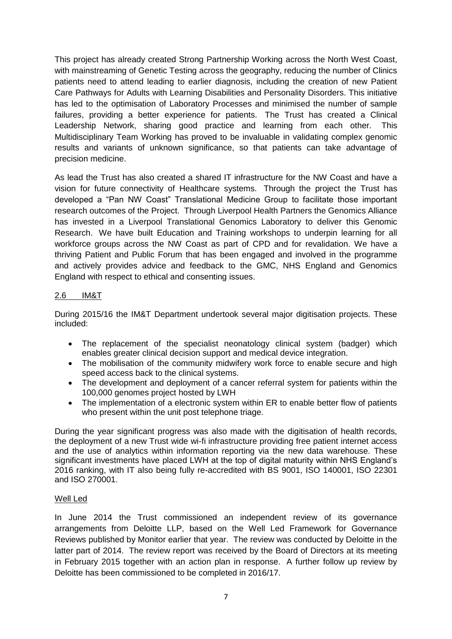This project has already created Strong Partnership Working across the North West Coast, with mainstreaming of Genetic Testing across the geography, reducing the number of Clinics patients need to attend leading to earlier diagnosis, including the creation of new Patient Care Pathways for Adults with Learning Disabilities and Personality Disorders. This initiative has led to the optimisation of Laboratory Processes and minimised the number of sample failures, providing a better experience for patients. The Trust has created a Clinical Leadership Network, sharing good practice and learning from each other. This Multidisciplinary Team Working has proved to be invaluable in validating complex genomic results and variants of unknown significance, so that patients can take advantage of precision medicine.

As lead the Trust has also created a shared IT infrastructure for the NW Coast and have a vision for future connectivity of Healthcare systems. Through the project the Trust has developed a "Pan NW Coast" Translational Medicine Group to facilitate those important research outcomes of the Project. Through Liverpool Health Partners the Genomics Alliance has invested in a Liverpool Translational Genomics Laboratory to deliver this Genomic Research. We have built Education and Training workshops to underpin learning for all workforce groups across the NW Coast as part of CPD and for revalidation. We have a thriving Patient and Public Forum that has been engaged and involved in the programme and actively provides advice and feedback to the GMC, NHS England and Genomics England with respect to ethical and consenting issues.

## 2.6 IM&T

During 2015/16 the IM&T Department undertook several major digitisation projects. These included:

- The replacement of the specialist neonatology clinical system (badger) which enables greater clinical decision support and medical device integration.
- The mobilisation of the community midwifery work force to enable secure and high speed access back to the clinical systems.
- The development and deployment of a cancer referral system for patients within the 100,000 genomes project hosted by LWH
- The implementation of a electronic system within ER to enable better flow of patients who present within the unit post telephone triage.

During the year significant progress was also made with the digitisation of health records, the deployment of a new Trust wide wi-fi infrastructure providing free patient internet access and the use of analytics within information reporting via the new data warehouse. These significant investments have placed LWH at the top of digital maturity within NHS England's 2016 ranking, with IT also being fully re-accredited with BS 9001, ISO 140001, ISO 22301 and ISO 270001.

## Well Led

In June 2014 the Trust commissioned an independent review of its governance arrangements from Deloitte LLP, based on the Well Led Framework for Governance Reviews published by Monitor earlier that year. The review was conducted by Deloitte in the latter part of 2014. The review report was received by the Board of Directors at its meeting in February 2015 together with an action plan in response. A further follow up review by Deloitte has been commissioned to be completed in 2016/17.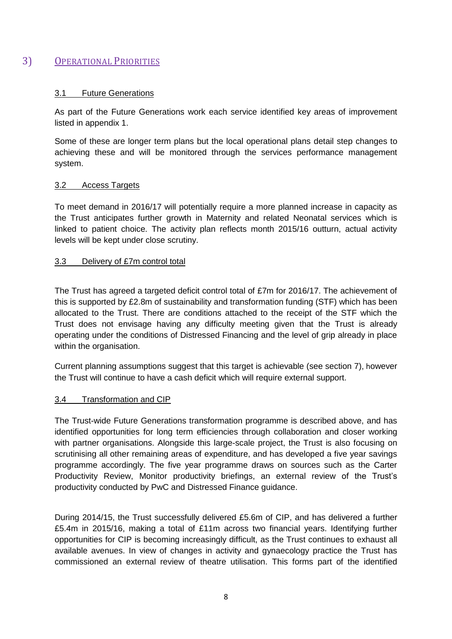## 3) OPERATIONAL PRIORITIES

## 3.1 Future Generations

As part of the Future Generations work each service identified key areas of improvement listed in appendix 1.

Some of these are longer term plans but the local operational plans detail step changes to achieving these and will be monitored through the services performance management system.

## 3.2 Access Targets

To meet demand in 2016/17 will potentially require a more planned increase in capacity as the Trust anticipates further growth in Maternity and related Neonatal services which is linked to patient choice. The activity plan reflects month 2015/16 outturn, actual activity levels will be kept under close scrutiny.

## 3.3 Delivery of £7m control total

The Trust has agreed a targeted deficit control total of £7m for 2016/17. The achievement of this is supported by £2.8m of sustainability and transformation funding (STF) which has been allocated to the Trust. There are conditions attached to the receipt of the STF which the Trust does not envisage having any difficulty meeting given that the Trust is already operating under the conditions of Distressed Financing and the level of grip already in place within the organisation.

Current planning assumptions suggest that this target is achievable (see section 7), however the Trust will continue to have a cash deficit which will require external support.

## 3.4 Transformation and CIP

The Trust-wide Future Generations transformation programme is described above, and has identified opportunities for long term efficiencies through collaboration and closer working with partner organisations. Alongside this large-scale project, the Trust is also focusing on scrutinising all other remaining areas of expenditure, and has developed a five year savings programme accordingly. The five year programme draws on sources such as the Carter Productivity Review, Monitor productivity briefings, an external review of the Trust's productivity conducted by PwC and Distressed Finance guidance.

During 2014/15, the Trust successfully delivered £5.6m of CIP, and has delivered a further £5.4m in 2015/16, making a total of £11m across two financial years. Identifying further opportunities for CIP is becoming increasingly difficult, as the Trust continues to exhaust all available avenues. In view of changes in activity and gynaecology practice the Trust has commissioned an external review of theatre utilisation. This forms part of the identified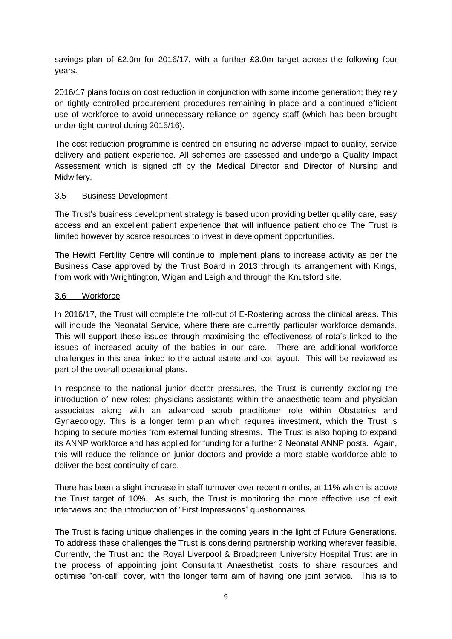savings plan of £2.0m for 2016/17, with a further £3.0m target across the following four years.

2016/17 plans focus on cost reduction in conjunction with some income generation; they rely on tightly controlled procurement procedures remaining in place and a continued efficient use of workforce to avoid unnecessary reliance on agency staff (which has been brought under tight control during 2015/16).

The cost reduction programme is centred on ensuring no adverse impact to quality, service delivery and patient experience. All schemes are assessed and undergo a Quality Impact Assessment which is signed off by the Medical Director and Director of Nursing and Midwifery.

#### 3.5 Business Development

The Trust's business development strategy is based upon providing better quality care, easy access and an excellent patient experience that will influence patient choice The Trust is limited however by scarce resources to invest in development opportunities.

The Hewitt Fertility Centre will continue to implement plans to increase activity as per the Business Case approved by the Trust Board in 2013 through its arrangement with Kings, from work with Wrightington, Wigan and Leigh and through the Knutsford site.

#### 3.6 Workforce

In 2016/17, the Trust will complete the roll-out of E-Rostering across the clinical areas. This will include the Neonatal Service, where there are currently particular workforce demands. This will support these issues through maximising the effectiveness of rota's linked to the issues of increased acuity of the babies in our care. There are additional workforce challenges in this area linked to the actual estate and cot layout. This will be reviewed as part of the overall operational plans.

In response to the national junior doctor pressures, the Trust is currently exploring the introduction of new roles; physicians assistants within the anaesthetic team and physician associates along with an advanced scrub practitioner role within Obstetrics and Gynaecology. This is a longer term plan which requires investment, which the Trust is hoping to secure monies from external funding streams. The Trust is also hoping to expand its ANNP workforce and has applied for funding for a further 2 Neonatal ANNP posts. Again, this will reduce the reliance on junior doctors and provide a more stable workforce able to deliver the best continuity of care.

There has been a slight increase in staff turnover over recent months, at 11% which is above the Trust target of 10%. As such, the Trust is monitoring the more effective use of exit interviews and the introduction of "First Impressions" questionnaires.

The Trust is facing unique challenges in the coming years in the light of Future Generations. To address these challenges the Trust is considering partnership working wherever feasible. Currently, the Trust and the Royal Liverpool & Broadgreen University Hospital Trust are in the process of appointing joint Consultant Anaesthetist posts to share resources and optimise "on-call" cover, with the longer term aim of having one joint service. This is to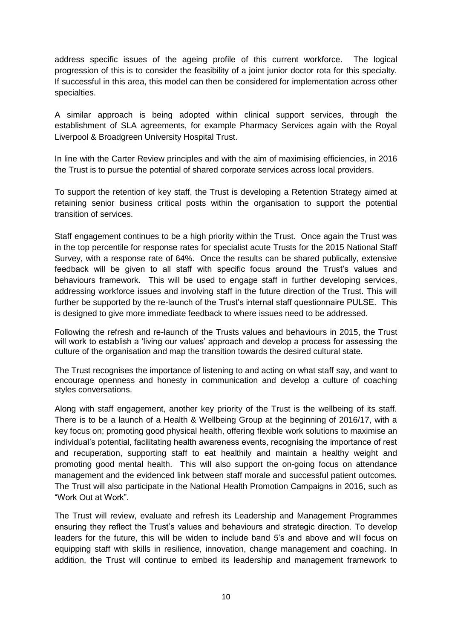address specific issues of the ageing profile of this current workforce. The logical progression of this is to consider the feasibility of a joint junior doctor rota for this specialty. If successful in this area, this model can then be considered for implementation across other specialties.

A similar approach is being adopted within clinical support services, through the establishment of SLA agreements, for example Pharmacy Services again with the Royal Liverpool & Broadgreen University Hospital Trust.

In line with the Carter Review principles and with the aim of maximising efficiencies, in 2016 the Trust is to pursue the potential of shared corporate services across local providers.

To support the retention of key staff, the Trust is developing a Retention Strategy aimed at retaining senior business critical posts within the organisation to support the potential transition of services.

Staff engagement continues to be a high priority within the Trust. Once again the Trust was in the top percentile for response rates for specialist acute Trusts for the 2015 National Staff Survey, with a response rate of 64%. Once the results can be shared publically, extensive feedback will be given to all staff with specific focus around the Trust's values and behaviours framework. This will be used to engage staff in further developing services, addressing workforce issues and involving staff in the future direction of the Trust. This will further be supported by the re-launch of the Trust's internal staff questionnaire PULSE. This is designed to give more immediate feedback to where issues need to be addressed.

Following the refresh and re-launch of the Trusts values and behaviours in 2015, the Trust will work to establish a 'living our values' approach and develop a process for assessing the culture of the organisation and map the transition towards the desired cultural state.

The Trust recognises the importance of listening to and acting on what staff say, and want to encourage openness and honesty in communication and develop a culture of coaching styles conversations.

Along with staff engagement, another key priority of the Trust is the wellbeing of its staff. There is to be a launch of a Health & Wellbeing Group at the beginning of 2016/17, with a key focus on; promoting good physical health, offering flexible work solutions to maximise an individual's potential, facilitating health awareness events, recognising the importance of rest and recuperation, supporting staff to eat healthily and maintain a healthy weight and promoting good mental health. This will also support the on-going focus on attendance management and the evidenced link between staff morale and successful patient outcomes. The Trust will also participate in the National Health Promotion Campaigns in 2016, such as "Work Out at Work".

The Trust will review, evaluate and refresh its Leadership and Management Programmes ensuring they reflect the Trust's values and behaviours and strategic direction. To develop leaders for the future, this will be widen to include band 5's and above and will focus on equipping staff with skills in resilience, innovation, change management and coaching. In addition, the Trust will continue to embed its leadership and management framework to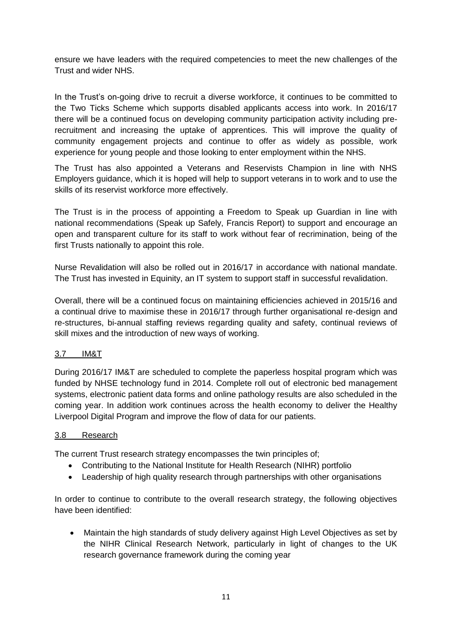ensure we have leaders with the required competencies to meet the new challenges of the Trust and wider NHS.

In the Trust's on-going drive to recruit a diverse workforce, it continues to be committed to the Two Ticks Scheme which supports disabled applicants access into work. In 2016/17 there will be a continued focus on developing community participation activity including prerecruitment and increasing the uptake of apprentices. This will improve the quality of community engagement projects and continue to offer as widely as possible, work experience for young people and those looking to enter employment within the NHS.

The Trust has also appointed a Veterans and Reservists Champion in line with NHS Employers guidance, which it is hoped will help to support veterans in to work and to use the skills of its reservist workforce more effectively.

The Trust is in the process of appointing a Freedom to Speak up Guardian in line with national recommendations (Speak up Safely, Francis Report) to support and encourage an open and transparent culture for its staff to work without fear of recrimination, being of the first Trusts nationally to appoint this role.

Nurse Revalidation will also be rolled out in 2016/17 in accordance with national mandate. The Trust has invested in Equinity, an IT system to support staff in successful revalidation.

Overall, there will be a continued focus on maintaining efficiencies achieved in 2015/16 and a continual drive to maximise these in 2016/17 through further organisational re-design and re-structures, bi-annual staffing reviews regarding quality and safety, continual reviews of skill mixes and the introduction of new ways of working.

## 3.7 IM&T

During 2016/17 IM&T are scheduled to complete the paperless hospital program which was funded by NHSE technology fund in 2014. Complete roll out of electronic bed management systems, electronic patient data forms and online pathology results are also scheduled in the coming year. In addition work continues across the health economy to deliver the Healthy Liverpool Digital Program and improve the flow of data for our patients.

## 3.8 Research

The current Trust research strategy encompasses the twin principles of;

- Contributing to the National Institute for Health Research (NIHR) portfolio
- Leadership of high quality research through partnerships with other organisations

In order to continue to contribute to the overall research strategy, the following objectives have been identified:

 Maintain the high standards of study delivery against High Level Objectives as set by the NIHR Clinical Research Network, particularly in light of changes to the UK research governance framework during the coming year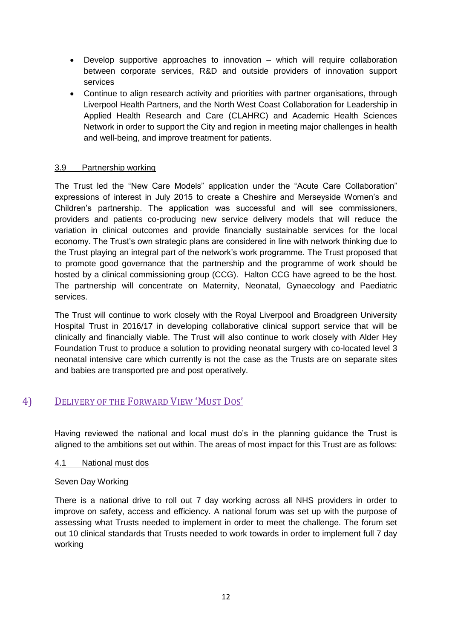- Develop supportive approaches to innovation which will require collaboration between corporate services, R&D and outside providers of innovation support services
- Continue to align research activity and priorities with partner organisations, through Liverpool Health Partners, and the North West Coast Collaboration for Leadership in Applied Health Research and Care (CLAHRC) and Academic Health Sciences Network in order to support the City and region in meeting major challenges in health and well-being, and improve treatment for patients.

## 3.9 Partnership working

The Trust led the "New Care Models" application under the "Acute Care Collaboration" expressions of interest in July 2015 to create a Cheshire and Merseyside Women's and Children's partnership. The application was successful and will see commissioners, providers and patients co-producing new service delivery models that will reduce the variation in clinical outcomes and provide financially sustainable services for the local economy. The Trust's own strategic plans are considered in line with network thinking due to the Trust playing an integral part of the network's work programme. The Trust proposed that to promote good governance that the partnership and the programme of work should be hosted by a clinical commissioning group (CCG). Halton CCG have agreed to be the host. The partnership will concentrate on Maternity, Neonatal, Gynaecology and Paediatric services.

The Trust will continue to work closely with the Royal Liverpool and Broadgreen University Hospital Trust in 2016/17 in developing collaborative clinical support service that will be clinically and financially viable. The Trust will also continue to work closely with Alder Hey Foundation Trust to produce a solution to providing neonatal surgery with co-located level 3 neonatal intensive care which currently is not the case as the Trusts are on separate sites and babies are transported pre and post operatively.

## 4) DELIVERY OF THE FORWARD VIEW 'MUST DOS'

Having reviewed the national and local must do's in the planning guidance the Trust is aligned to the ambitions set out within. The areas of most impact for this Trust are as follows:

## 4.1 National must dos

## Seven Day Working

There is a national drive to roll out 7 day working across all NHS providers in order to improve on safety, access and efficiency. A national forum was set up with the purpose of assessing what Trusts needed to implement in order to meet the challenge. The forum set out 10 clinical standards that Trusts needed to work towards in order to implement full 7 day working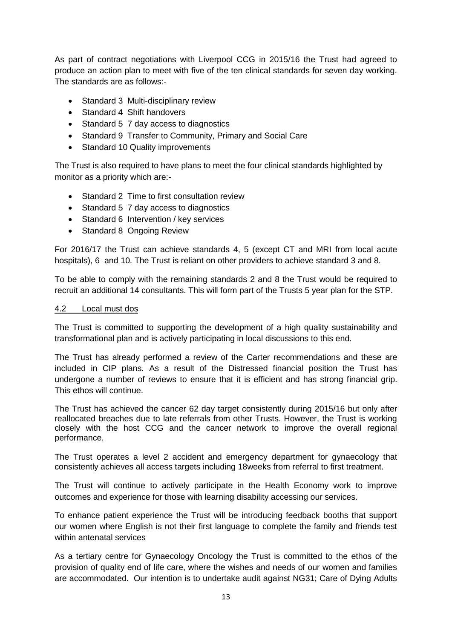As part of contract negotiations with Liverpool CCG in 2015/16 the Trust had agreed to produce an action plan to meet with five of the ten clinical standards for seven day working. The standards are as follows:-

- Standard 3 Multi-disciplinary review
- Standard 4 Shift handovers
- Standard 5 7 day access to diagnostics
- Standard 9 Transfer to Community, Primary and Social Care
- Standard 10 Quality improvements

The Trust is also required to have plans to meet the four clinical standards highlighted by monitor as a priority which are:-

- Standard 2 Time to first consultation review
- Standard 5 7 day access to diagnostics
- Standard 6 Intervention / key services
- Standard 8 Ongoing Review

For 2016/17 the Trust can achieve standards 4, 5 (except CT and MRI from local acute hospitals), 6 and 10. The Trust is reliant on other providers to achieve standard 3 and 8.

To be able to comply with the remaining standards 2 and 8 the Trust would be required to recruit an additional 14 consultants. This will form part of the Trusts 5 year plan for the STP.

#### 4.2 Local must dos

The Trust is committed to supporting the development of a high quality sustainability and transformational plan and is actively participating in local discussions to this end.

The Trust has already performed a review of the Carter recommendations and these are included in CIP plans. As a result of the Distressed financial position the Trust has undergone a number of reviews to ensure that it is efficient and has strong financial grip. This ethos will continue.

The Trust has achieved the cancer 62 day target consistently during 2015/16 but only after reallocated breaches due to late referrals from other Trusts. However, the Trust is working closely with the host CCG and the cancer network to improve the overall regional performance.

The Trust operates a level 2 accident and emergency department for gynaecology that consistently achieves all access targets including 18weeks from referral to first treatment.

The Trust will continue to actively participate in the Health Economy work to improve outcomes and experience for those with learning disability accessing our services.

To enhance patient experience the Trust will be introducing feedback booths that support our women where English is not their first language to complete the family and friends test within antenatal services

As a tertiary centre for Gynaecology Oncology the Trust is committed to the ethos of the provision of quality end of life care, where the wishes and needs of our women and families are accommodated. Our intention is to undertake audit against NG31; Care of Dying Adults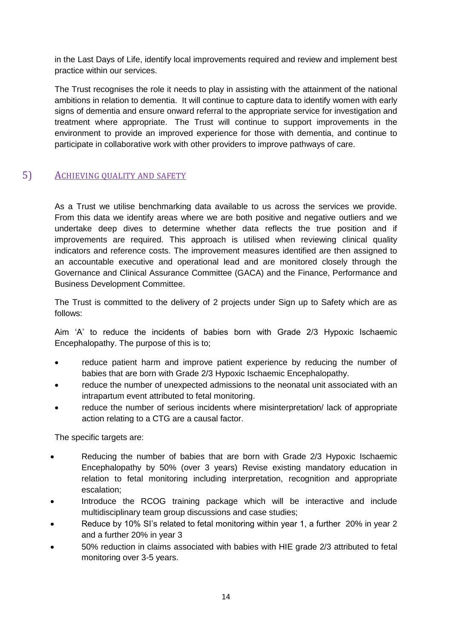in the Last Days of Life, identify local improvements required and review and implement best practice within our services.

The Trust recognises the role it needs to play in assisting with the attainment of the national ambitions in relation to dementia. It will continue to capture data to identify women with early signs of dementia and ensure onward referral to the appropriate service for investigation and treatment where appropriate. The Trust will continue to support improvements in the environment to provide an improved experience for those with dementia, and continue to participate in collaborative work with other providers to improve pathways of care.

## 5) ACHIEVING QUALITY AND SAFETY

As a Trust we utilise benchmarking data available to us across the services we provide. From this data we identify areas where we are both positive and negative outliers and we undertake deep dives to determine whether data reflects the true position and if improvements are required. This approach is utilised when reviewing clinical quality indicators and reference costs. The improvement measures identified are then assigned to an accountable executive and operational lead and are monitored closely through the Governance and Clinical Assurance Committee (GACA) and the Finance, Performance and Business Development Committee.

The Trust is committed to the delivery of 2 projects under Sign up to Safety which are as follows:

Aim 'A' to reduce the incidents of babies born with Grade 2/3 Hypoxic Ischaemic Encephalopathy. The purpose of this is to;

- reduce patient harm and improve patient experience by reducing the number of babies that are born with Grade 2/3 Hypoxic Ischaemic Encephalopathy.
- reduce the number of unexpected admissions to the neonatal unit associated with an intrapartum event attributed to fetal monitoring.
- reduce the number of serious incidents where misinterpretation/ lack of appropriate action relating to a CTG are a causal factor.

The specific targets are:

- Reducing the number of babies that are born with Grade 2/3 Hypoxic Ischaemic Encephalopathy by 50% (over 3 years) Revise existing mandatory education in relation to fetal monitoring including interpretation, recognition and appropriate escalation;
- Introduce the RCOG training package which will be interactive and include multidisciplinary team group discussions and case studies;
- Reduce by 10% SI's related to fetal monitoring within year 1, a further 20% in year 2 and a further 20% in year 3
- 50% reduction in claims associated with babies with HIE grade 2/3 attributed to fetal monitoring over 3-5 years.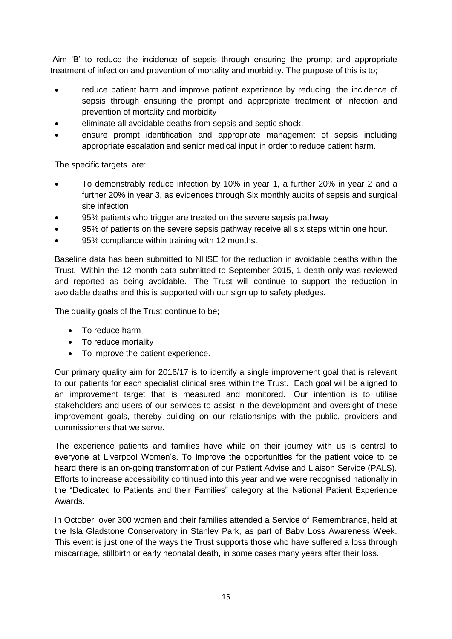Aim 'B' to reduce the incidence of sepsis through ensuring the prompt and appropriate treatment of infection and prevention of mortality and morbidity. The purpose of this is to;

- reduce patient harm and improve patient experience by reducing the incidence of sepsis through ensuring the prompt and appropriate treatment of infection and prevention of mortality and morbidity
- eliminate all avoidable deaths from sepsis and septic shock.
- ensure prompt identification and appropriate management of sepsis including appropriate escalation and senior medical input in order to reduce patient harm.

The specific targets are:

- To demonstrably reduce infection by 10% in year 1, a further 20% in year 2 and a further 20% in year 3, as evidences through Six monthly audits of sepsis and surgical site infection
- 95% patients who trigger are treated on the severe sepsis pathway
- 95% of patients on the severe sepsis pathway receive all six steps within one hour.
- 95% compliance within training with 12 months.

Baseline data has been submitted to NHSE for the reduction in avoidable deaths within the Trust. Within the 12 month data submitted to September 2015, 1 death only was reviewed and reported as being avoidable. The Trust will continue to support the reduction in avoidable deaths and this is supported with our sign up to safety pledges.

The quality goals of the Trust continue to be;

- To reduce harm
- To reduce mortality
- To improve the patient experience.

Our primary quality aim for 2016/17 is to identify a single improvement goal that is relevant to our patients for each specialist clinical area within the Trust. Each goal will be aligned to an improvement target that is measured and monitored. Our intention is to utilise stakeholders and users of our services to assist in the development and oversight of these improvement goals, thereby building on our relationships with the public, providers and commissioners that we serve.

The experience patients and families have while on their journey with us is central to everyone at Liverpool Women's. To improve the opportunities for the patient voice to be heard there is an on-going transformation of our Patient Advise and Liaison Service (PALS). Efforts to increase accessibility continued into this year and we were recognised nationally in the "Dedicated to Patients and their Families" category at the National Patient Experience Awards.

In October, over 300 women and their families attended a Service of Remembrance, held at the Isla Gladstone Conservatory in Stanley Park, as part of Baby Loss Awareness Week. This event is just one of the ways the Trust supports those who have suffered a loss through miscarriage, stillbirth or early neonatal death, in some cases many years after their loss.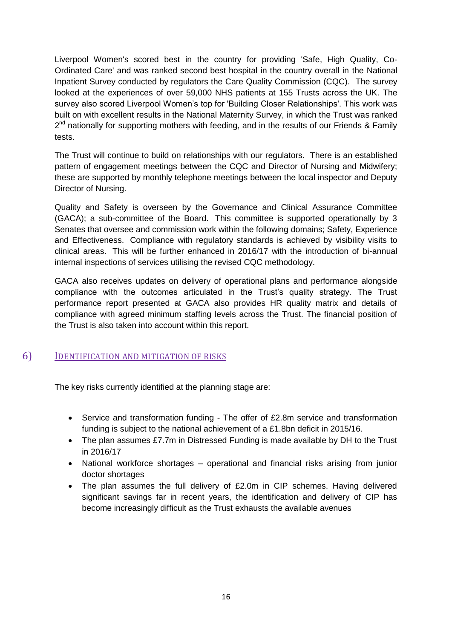Liverpool Women's scored best in the country for providing 'Safe, High Quality, Co-Ordinated Care' and was ranked second best hospital in the country overall in the National Inpatient Survey conducted by regulators the Care Quality Commission (CQC). The survey looked at the experiences of over 59,000 NHS patients at 155 Trusts across the UK. The survey also scored Liverpool Women's top for 'Building Closer Relationships'. This work was built on with excellent results in the National Maternity Survey, in which the Trust was ranked 2<sup>nd</sup> nationally for supporting mothers with feeding, and in the results of our Friends & Family tests.

The Trust will continue to build on relationships with our regulators. There is an established pattern of engagement meetings between the CQC and Director of Nursing and Midwifery; these are supported by monthly telephone meetings between the local inspector and Deputy Director of Nursing.

Quality and Safety is overseen by the Governance and Clinical Assurance Committee (GACA); a sub-committee of the Board. This committee is supported operationally by 3 Senates that oversee and commission work within the following domains; Safety, Experience and Effectiveness. Compliance with regulatory standards is achieved by visibility visits to clinical areas. This will be further enhanced in 2016/17 with the introduction of bi-annual internal inspections of services utilising the revised CQC methodology.

GACA also receives updates on delivery of operational plans and performance alongside compliance with the outcomes articulated in the Trust's quality strategy. The Trust performance report presented at GACA also provides HR quality matrix and details of compliance with agreed minimum staffing levels across the Trust. The financial position of the Trust is also taken into account within this report.

## 6) IDENTIFICATION AND MITIGATION OF RISKS

The key risks currently identified at the planning stage are:

- Service and transformation funding The offer of £2.8m service and transformation funding is subject to the national achievement of a £1.8bn deficit in 2015/16.
- The plan assumes £7.7m in Distressed Funding is made available by DH to the Trust in 2016/17
- National workforce shortages operational and financial risks arising from junior doctor shortages
- The plan assumes the full delivery of £2.0m in CIP schemes. Having delivered significant savings far in recent years, the identification and delivery of CIP has become increasingly difficult as the Trust exhausts the available avenues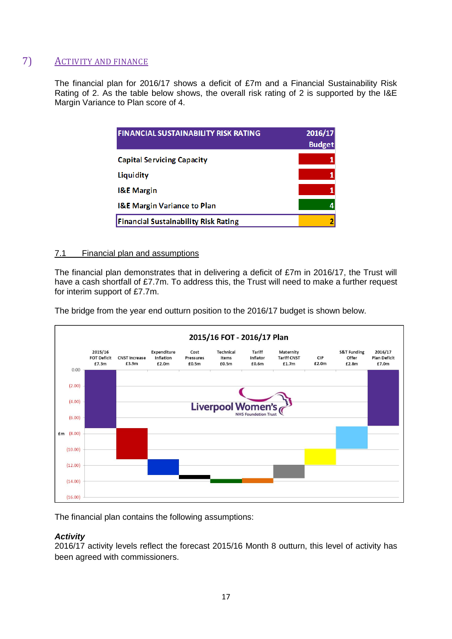## 7) ACTIVITY AND FINANCE

The financial plan for 2016/17 shows a deficit of £7m and a Financial Sustainability Risk Rating of 2. As the table below shows, the overall risk rating of 2 is supported by the I&E Margin Variance to Plan score of 4.

| <b>FINANCIAL SUSTAINABILITY RISK RATING</b> | 2016/17<br><b>Budget</b> |
|---------------------------------------------|--------------------------|
| <b>Capital Servicing Capacity</b>           |                          |
| Liquidity                                   |                          |
| <b>I&amp;E</b> Margin                       |                          |
| <b>I&amp;E Margin Variance to Plan</b>      |                          |
| <b>Financial Sustainability Risk Rating</b> |                          |

## 7.1 Financial plan and assumptions

The financial plan demonstrates that in delivering a deficit of £7m in 2016/17, the Trust will have a cash shortfall of £7.7m. To address this, the Trust will need to make a further request for interim support of £7.7m.

The bridge from the year end outturn position to the 2016/17 budget is shown below.



The financial plan contains the following assumptions:

## *Activity*

2016/17 activity levels reflect the forecast 2015/16 Month 8 outturn, this level of activity has been agreed with commissioners.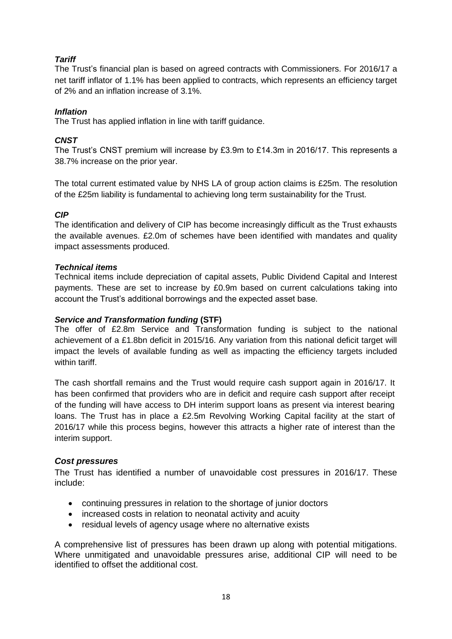## *Tariff*

The Trust's financial plan is based on agreed contracts with Commissioners. For 2016/17 a net tariff inflator of 1.1% has been applied to contracts, which represents an efficiency target of 2% and an inflation increase of 3.1%.

## *Inflation*

The Trust has applied inflation in line with tariff guidance.

## *CNST*

The Trust's CNST premium will increase by £3.9m to £14.3m in 2016/17. This represents a 38.7% increase on the prior year.

The total current estimated value by NHS LA of group action claims is £25m. The resolution of the £25m liability is fundamental to achieving long term sustainability for the Trust.

## *CIP*

The identification and delivery of CIP has become increasingly difficult as the Trust exhausts the available avenues. £2.0m of schemes have been identified with mandates and quality impact assessments produced.

## *Technical items*

Technical items include depreciation of capital assets, Public Dividend Capital and Interest payments. These are set to increase by £0.9m based on current calculations taking into account the Trust's additional borrowings and the expected asset base.

## *Service and Transformation funding* **(STF)**

The offer of £2.8m Service and Transformation funding is subject to the national achievement of a £1.8bn deficit in 2015/16. Any variation from this national deficit target will impact the levels of available funding as well as impacting the efficiency targets included within tariff.

The cash shortfall remains and the Trust would require cash support again in 2016/17. It has been confirmed that providers who are in deficit and require cash support after receipt of the funding will have access to DH interim support loans as present via interest bearing loans. The Trust has in place a £2.5m Revolving Working Capital facility at the start of 2016/17 while this process begins, however this attracts a higher rate of interest than the interim support.

## *Cost pressures*

The Trust has identified a number of unavoidable cost pressures in 2016/17. These include:

- continuing pressures in relation to the shortage of junior doctors
- increased costs in relation to neonatal activity and acuity
- residual levels of agency usage where no alternative exists

A comprehensive list of pressures has been drawn up along with potential mitigations. Where unmitigated and unavoidable pressures arise, additional CIP will need to be identified to offset the additional cost.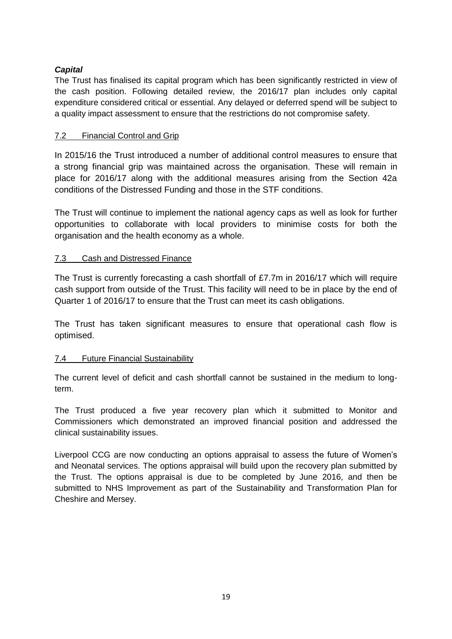## *Capital*

The Trust has finalised its capital program which has been significantly restricted in view of the cash position. Following detailed review, the 2016/17 plan includes only capital expenditure considered critical or essential. Any delayed or deferred spend will be subject to a quality impact assessment to ensure that the restrictions do not compromise safety.

## 7.2 Financial Control and Grip

In 2015/16 the Trust introduced a number of additional control measures to ensure that a strong financial grip was maintained across the organisation. These will remain in place for 2016/17 along with the additional measures arising from the Section 42a conditions of the Distressed Funding and those in the STF conditions.

The Trust will continue to implement the national agency caps as well as look for further opportunities to collaborate with local providers to minimise costs for both the organisation and the health economy as a whole.

## 7.3 Cash and Distressed Finance

The Trust is currently forecasting a cash shortfall of £7.7m in 2016/17 which will require cash support from outside of the Trust. This facility will need to be in place by the end of Quarter 1 of 2016/17 to ensure that the Trust can meet its cash obligations.

The Trust has taken significant measures to ensure that operational cash flow is optimised.

## 7.4 Future Financial Sustainability

The current level of deficit and cash shortfall cannot be sustained in the medium to longterm.

The Trust produced a five year recovery plan which it submitted to Monitor and Commissioners which demonstrated an improved financial position and addressed the clinical sustainability issues.

Liverpool CCG are now conducting an options appraisal to assess the future of Women's and Neonatal services. The options appraisal will build upon the recovery plan submitted by the Trust. The options appraisal is due to be completed by June 2016, and then be submitted to NHS Improvement as part of the Sustainability and Transformation Plan for Cheshire and Mersey.